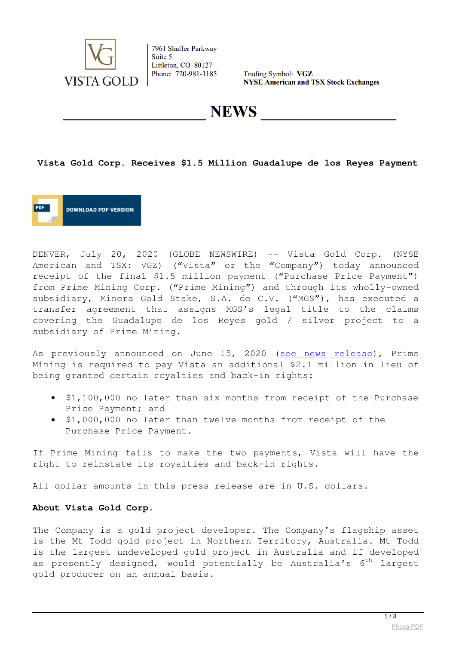

7961 Shaffer Parkway Suite 5 Littleton, CO 80127 Phone: 720-981-1185

Trading Symbol: VGZ **NYSE American and TSX Stock Exchanges** 

**NEWS** 

### **Vista Gold Corp. Receives \$1.5 Million Guadalupe de los Reyes Payment**



DENVER, July 20, 2020 (GLOBE NEWSWIRE) -- Vista Gold Corp. (NYSE American and TSX: VGZ) ("Vista" or the "Company") today announced receipt of the final \$1.5 million payment ("Purchase Price Payment") from Prime Mining Corp. ("Prime Mining") and through its wholly-owned subsidiary, Minera Gold Stake, S.A. de C.V. ("MGS"), has executed a transfer agreement that assigns MGS's legal title to the claims covering the Guadalupe de los Reyes gold / silver project to a subsidiary of Prime Mining.

As previously announced on June 15, 2020 [\(see news release\)](https://www.globenewswire.com/Tracker?data=xV9ZMq6NkZ_CX3JvP8y5EpAvuRIB4cFsl71bbPkM_qOPfpFrrKeRmZFKT_qLNUCG3xMXB9wAQRDQeqF3awl3Of1OwwD6u4MQuq6xKSIasx5VbHAU-dOCW1siMaxRTcItiwvGNAEn3Ae9D3OjgzylTwLdUQWHpFYWMMxqw-E3pAh2xgXd8GDl_DBLdcmTTmQ6UHbWJ45TdaAcgmEd2qaraw==), Prime Mining is required to pay Vista an additional \$2.1 million in lieu of being granted certain royalties and back-in rights:

- \$1,100,000 no later than six months from receipt of the Purchase Price Payment; and
- . \$1,000,000 no later than twelve months from receipt of the Purchase Price Payment.

If Prime Mining fails to make the two payments, Vista will have the right to reinstate its royalties and back-in rights.

All dollar amounts in this press release are in U.S. dollars.

### **About Vista Gold Corp.**

The Company is a gold project developer. The Company's flagship asset is the Mt Todd gold project in Northern Territory, Australia. Mt Todd is the largest undeveloped gold project in Australia and if developed as presently designed, would potentially be Australia's  $6<sup>th</sup>$  largest gold producer on an annual basis.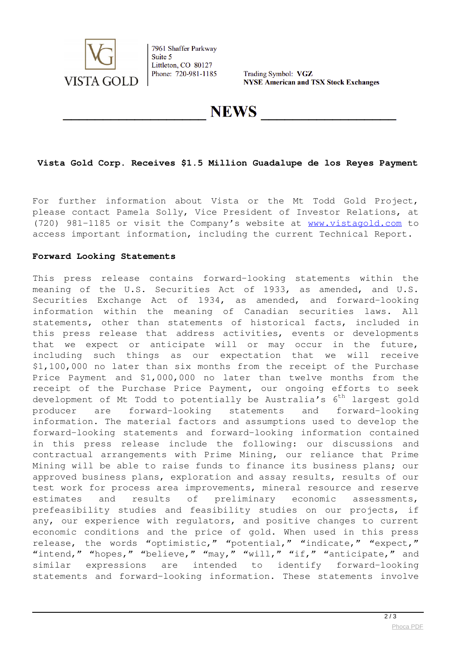

7961 Shaffer Parkway Suite 5 Littleton, CO 80127 Phone: 720-981-1185

Trading Symbol: VGZ **NYSE American and TSX Stock Exchanges** 

**NEWS** 

# **Vista Gold Corp. Receives \$1.5 Million Guadalupe de los Reyes Payment**

For further information about Vista or the Mt Todd Gold Project, please contact Pamela Solly, Vice President of Investor Relations, at (720) 981-1185 or visit the Company's website at [www.vistagold.com](https://www.globenewswire.com/Tracker?data=cCeSbW7U2uEPpr7IfFxwXWNK0NEbbvhJE3U3RJliDPB2yuASbhWQ0sfwTdIj6t4zKVUJb_PZ64iI72QREMF5kw==) to access important information, including the current Technical Report.

### **Forward Looking Statements**

This press release contains forward-looking statements within the meaning of the U.S. Securities Act of 1933, as amended, and U.S. Securities Exchange Act of 1934, as amended, and forward-looking information within the meaning of Canadian securities laws. All statements, other than statements of historical facts, included in this press release that address activities, events or developments that we expect or anticipate will or may occur in the future, including such things as our expectation that we will receive \$1,100,000 no later than six months from the receipt of the Purchase Price Payment and \$1,000,000 no later than twelve months from the receipt of the Purchase Price Payment, our ongoing efforts to seek development of Mt Todd to potentially be Australia's  $6<sup>th</sup>$  largest gold producer are forward-looking statements and forward-looking information. The material factors and assumptions used to develop the forward-looking statements and forward-looking information contained in this press release include the following: our discussions and contractual arrangements with Prime Mining, our reliance that Prime Mining will be able to raise funds to finance its business plans; our approved business plans, exploration and assay results, results of our test work for process area improvements, mineral resource and reserve estimates and results of preliminary economic assessments, prefeasibility studies and feasibility studies on our projects, if any, our experience with regulators, and positive changes to current economic conditions and the price of gold. When used in this press release, the words "optimistic," "potential," "indicate," "expect," "intend," "hopes," "believe," "may," "will," "if," "anticipate," and similar expressions are intended to identify forward-looking statements and forward-looking information. These statements involve